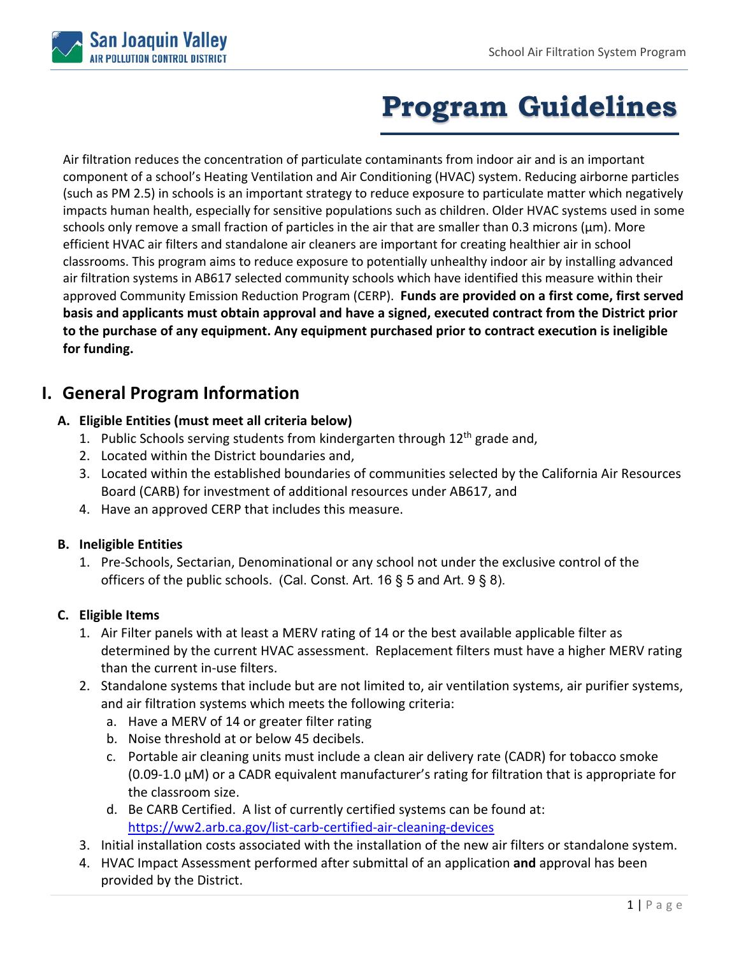

# **Program Guidelines**

Air filtration reduces the concentration of particulate contaminants from indoor air and is an important component of a school's Heating Ventilation and Air Conditioning (HVAC) system. Reducing airborne particles (such as PM 2.5) in schools is an important strategy to reduce exposure to particulate matter which negatively impacts human health, especially for sensitive populations such as children. Older HVAC systems used in some schools only remove a small fraction of particles in the air that are smaller than 0.3 microns ( $\mu$ m). More efficient HVAC air filters and standalone air cleaners are important for creating healthier air in school classrooms. This program aims to reduce exposure to potentially unhealthy indoor air by installing advanced air filtration systems in AB617 selected community schools which have identified this measure within their approved Community Emission Reduction Program (CERP). **Funds are provided on a first come, first served basis and applicants must obtain approval and have a signed, executed contract from the District prior to the purchase of any equipment. Any equipment purchased prior to contract execution is ineligible for funding.** 

# **I. General Program Information**

## **A. Eligible Entities (must meet all criteria below)**

- 1. Public Schools serving students from kindergarten through  $12<sup>th</sup>$  grade and,
- 2. Located within the District boundaries and,
- 3. Located within the established boundaries of communities selected by the California Air Resources Board (CARB) for investment of additional resources under AB617, and
- 4. Have an approved CERP that includes this measure.

### **B. Ineligible Entities**

1. Pre‐Schools, Sectarian, Denominational or any school not under the exclusive control of the officers of the public schools. (Cal. Const. Art. 16 § 5 and Art. 9 § 8).

### **C. Eligible Items**

- 1. Air Filter panels with at least a MERV rating of 14 or the best available applicable filter as determined by the current HVAC assessment. Replacement filters must have a higher MERV rating than the current in‐use filters.
- 2. Standalone systems that include but are not limited to, air ventilation systems, air purifier systems, and air filtration systems which meets the following criteria:
	- a. Have a MERV of 14 or greater filter rating
	- b. Noise threshold at or below 45 decibels.
	- c. Portable air cleaning units must include a clean air delivery rate (CADR) for tobacco smoke (0.09‐1.0 μM) or a CADR equivalent manufacturer's rating for filtration that is appropriate for the classroom size.
	- d. Be CARB Certified. A list of currently certified systems can be found at: https://ww2.arb.ca.gov/list‐carb‐certified‐air‐cleaning‐devices
- 3. Initial installation costs associated with the installation of the new air filters or standalone system.
- 4. HVAC Impact Assessment performed after submittal of an application **and** approval has been provided by the District.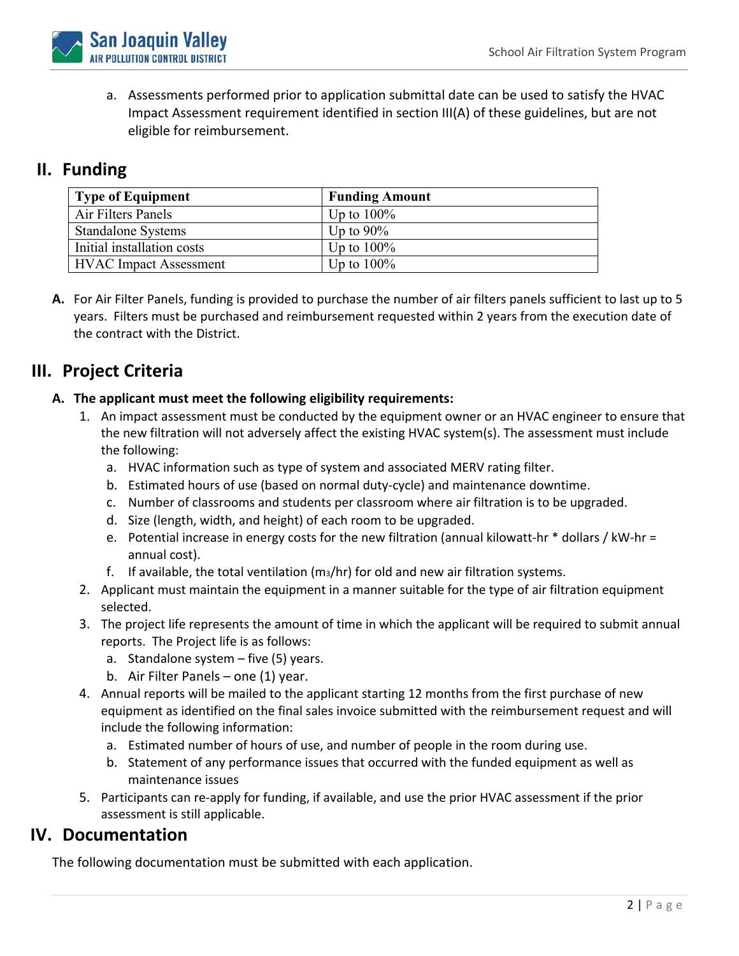

a. Assessments performed prior to application submittal date can be used to satisfy the HVAC Impact Assessment requirement identified in section III(A) of these guidelines, but are not eligible for reimbursement.

## **II. Funding**

| <b>Type of Equipment</b>      | <b>Funding Amount</b> |
|-------------------------------|-----------------------|
| Air Filters Panels            | Up to $100\%$         |
| <b>Standalone Systems</b>     | Up to $90\%$          |
| Initial installation costs    | Up to $100\%$         |
| <b>HVAC</b> Impact Assessment | Up to $100\%$         |

**A.** For Air Filter Panels, funding is provided to purchase the number of air filters panels sufficient to last up to 5 years. Filters must be purchased and reimbursement requested within 2 years from the execution date of the contract with the District.

# **III. Project Criteria**

### **A. The applicant must meet the following eligibility requirements:**

- 1. An impact assessment must be conducted by the equipment owner or an HVAC engineer to ensure that the new filtration will not adversely affect the existing HVAC system(s). The assessment must include the following:
	- a. HVAC information such as type of system and associated MERV rating filter.
	- b. Estimated hours of use (based on normal duty‐cycle) and maintenance downtime.
	- c. Number of classrooms and students per classroom where air filtration is to be upgraded.
	- d. Size (length, width, and height) of each room to be upgraded.
	- e. Potential increase in energy costs for the new filtration (annual kilowatt-hr \* dollars / kW-hr = annual cost).
	- f. If available, the total ventilation  $(m_3/hr)$  for old and new air filtration systems.
- 2. Applicant must maintain the equipment in a manner suitable for the type of air filtration equipment selected.
- 3. The project life represents the amount of time in which the applicant will be required to submit annual reports. The Project life is as follows:
	- a. Standalone system five (5) years.
	- b. Air Filter Panels one (1) year.
- 4. Annual reports will be mailed to the applicant starting 12 months from the first purchase of new equipment as identified on the final sales invoice submitted with the reimbursement request and will include the following information:
	- a. Estimated number of hours of use, and number of people in the room during use.
	- b. Statement of any performance issues that occurred with the funded equipment as well as maintenance issues
- 5. Participants can re-apply for funding, if available, and use the prior HVAC assessment if the prior assessment is still applicable.

## **IV. Documentation**

The following documentation must be submitted with each application.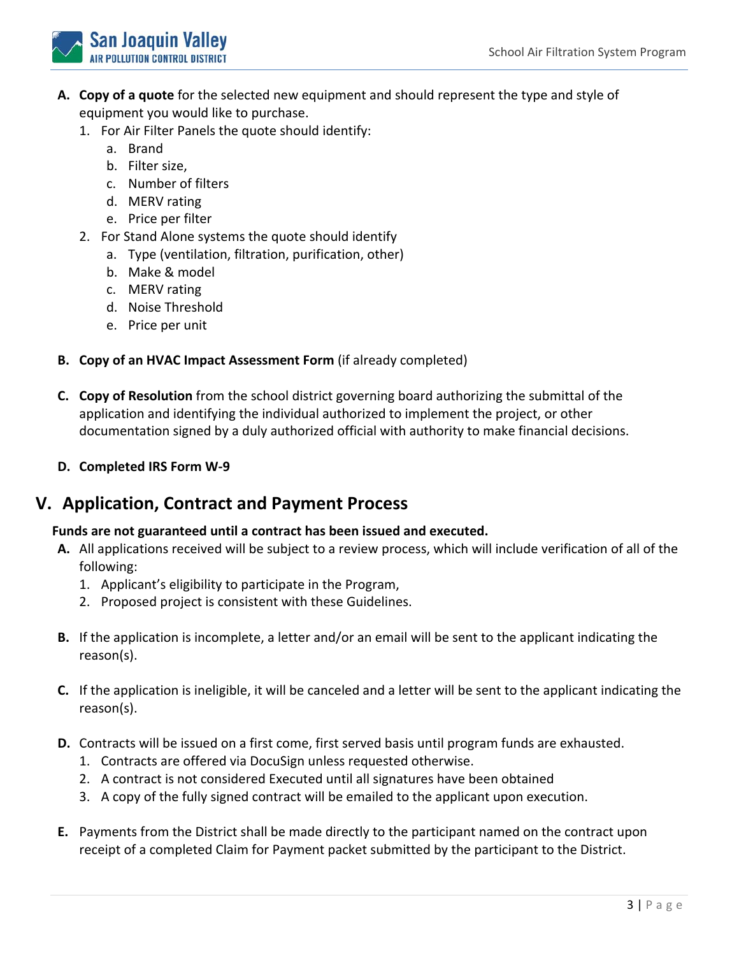

- **A. Copy of a quote** for the selected new equipment and should represent the type and style of equipment you would like to purchase.
	- 1. For Air Filter Panels the quote should identify:
		- a. Brand
		- b. Filter size,
		- c. Number of filters
		- d. MERV rating
		- e. Price per filter
	- 2. For Stand Alone systems the quote should identify
		- a. Type (ventilation, filtration, purification, other)
		- b. Make & model
		- c. MERV rating
		- d. Noise Threshold
		- e. Price per unit
- **B. Copy of an HVAC Impact Assessment Form** (if already completed)
- **C. Copy of Resolution** from the school district governing board authorizing the submittal of the application and identifying the individual authorized to implement the project, or other documentation signed by a duly authorized official with authority to make financial decisions.
- **D. Completed IRS Form W‐9**

## **V. Application, Contract and Payment Process**

### **Funds are not guaranteed until a contract has been issued and executed.**

- **A.** All applications received will be subject to a review process, which will include verification of all of the following:
	- 1. Applicant's eligibility to participate in the Program,
	- 2. Proposed project is consistent with these Guidelines.
- **B.** If the application is incomplete, a letter and/or an email will be sent to the applicant indicating the reason(s).
- **C.** If the application is ineligible, it will be canceled and a letter will be sent to the applicant indicating the reason(s).
- **D.** Contracts will be issued on a first come, first served basis until program funds are exhausted.
	- 1. Contracts are offered via DocuSign unless requested otherwise.
	- 2. A contract is not considered Executed until all signatures have been obtained
	- 3. A copy of the fully signed contract will be emailed to the applicant upon execution.
- **E.** Payments from the District shall be made directly to the participant named on the contract upon receipt of a completed Claim for Payment packet submitted by the participant to the District.